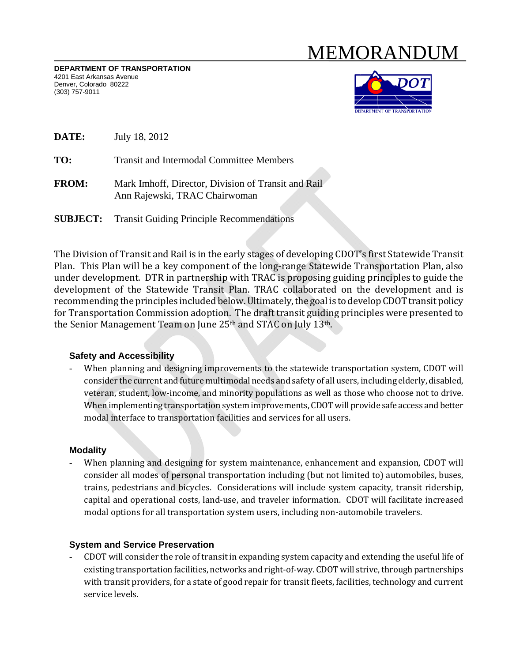# MEMORANDUM

**DEPARTMENT OF TRANSPORTATION**  4201 East Arkansas Avenue Denver, Colorado 80222 (303) 757-9011



**DATE:** July 18, 2012

**TO:** Transit and Intermodal Committee Members

**FROM:** Mark Imhoff, Director, Division of Transit and Rail Ann Rajewski, TRAC Chairwoman

**SUBJECT:** Transit Guiding Principle Recommendations

The Division of Transit and Rail is in the early stages of developing CDOT's first Statewide Transit Plan. This Plan will be a key component of the long-range Statewide Transportation Plan, also under development. DTR in partnership with TRAC is proposing guiding principles to guide the development of the Statewide Transit Plan. TRAC collaborated on the development and is recommending the principles included below. Ultimately, the goal is to develop CDOT transit policy for Transportation Commission adoption. The draft transit guiding principles were presented to the Senior Management Team on June  $25<sup>th</sup>$  and STAC on July 13<sup>th</sup>.

# **Safety and Accessibility**

When planning and designing improvements to the statewide transportation system, CDOT will consider the current and future multimodal needs and safety of all users, including elderly, disabled, veteran, student, low-income, and minority populations as well as those who choose not to drive. When implementing transportation system improvements, CDOT will provide safe access and better modal interface to transportation facilities and services for all users.

#### **Modality**

When planning and designing for system maintenance, enhancement and expansion, CDOT will consider all modes of personal transportation including (but not limited to) automobiles, buses, trains, pedestrians and bicycles. Considerations will include system capacity, transit ridership, capital and operational costs, land-use, and traveler information. CDOT will facilitate increased modal options for all transportation system users, including non-automobile travelers.

# **System and Service Preservation**

CDOT will consider the role of transit in expanding system capacity and extending the useful life of existing transportation facilities, networks and right-of-way. CDOT will strive, through partnerships with transit providers, for a state of good repair for transit fleets, facilities, technology and current service levels.